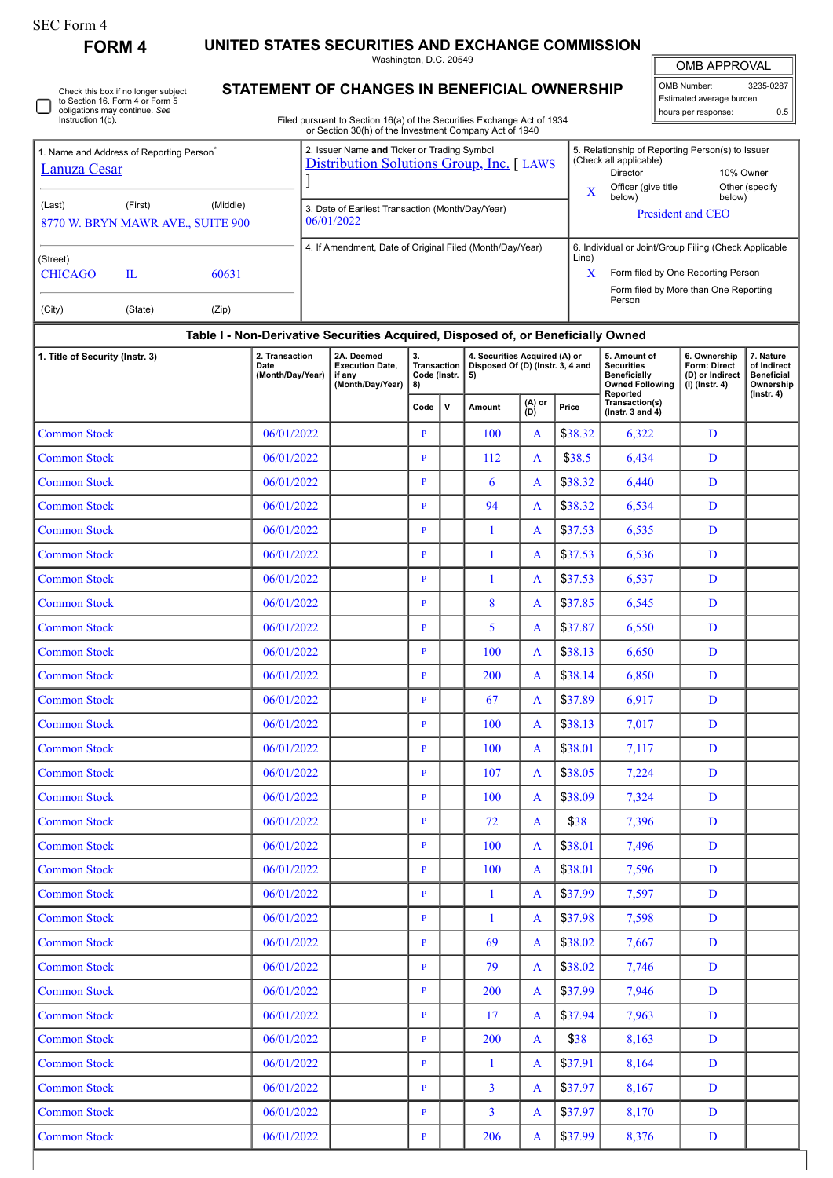| SEC Form 4 |  |
|------------|--|
|------------|--|

**FORM 4 UNITED STATES SECURITIES AND EXCHANGE COMMISSION**

Washington, D.C. 20549

Check this box if no longer subject to Section 16. Form 4 or Form 5 obligations may continue. *See*

## **STATEMENT OF CHANGES IN BENEFICIAL OWNERSHIP**

OMB APPROVAL OMB Number: 3235-0287

Estimated average burden hours per response: 0.5

| <b>ODING THE THAT CONTINUE.</b> OFF<br>Instruction 1(b).                                                                    |                         |       |                                    |                                                                | Filed pursuant to Section 16(a) of the Securities Exchange Act of 1934<br>or Section 30(h) of the Investment Company Act of 1940 |                                  |              |                                                                                 |                                                                                                                                                     |                                                                                                                                              |                                                                                                | hours per response:                                                 | 0.5                                                                            |  |
|-----------------------------------------------------------------------------------------------------------------------------|-------------------------|-------|------------------------------------|----------------------------------------------------------------|----------------------------------------------------------------------------------------------------------------------------------|----------------------------------|--------------|---------------------------------------------------------------------------------|-----------------------------------------------------------------------------------------------------------------------------------------------------|----------------------------------------------------------------------------------------------------------------------------------------------|------------------------------------------------------------------------------------------------|---------------------------------------------------------------------|--------------------------------------------------------------------------------|--|
| 1. Name and Address of Reporting Person <sup>®</sup><br><b>Lanuza Cesar</b>                                                 |                         |       |                                    |                                                                | 2. Issuer Name and Ticker or Trading Symbol<br>Distribution Solutions Group, Inc. [ LAWS                                         |                                  |              |                                                                                 |                                                                                                                                                     | 5. Relationship of Reporting Person(s) to Issuer<br>(Check all applicable)<br>Director<br>10% Owner<br>Officer (give title<br>Other (specify |                                                                                                |                                                                     |                                                                                |  |
| (Last)<br>8770 W. BRYN MAWR AVE., SUITE 900                                                                                 | (First)                 |       |                                    | 3. Date of Earliest Transaction (Month/Day/Year)<br>06/01/2022 |                                                                                                                                  |                                  |              |                                                                                 | X<br>below)<br>below)<br><b>President and CEO</b>                                                                                                   |                                                                                                                                              |                                                                                                |                                                                     |                                                                                |  |
| (Street)<br><b>CHICAGO</b><br>(City)                                                                                        | $\mathbf{L}$<br>(State) |       |                                    | 4. If Amendment, Date of Original Filed (Month/Day/Year)       |                                                                                                                                  |                                  |              | Line)                                                                           | 6. Individual or Joint/Group Filing (Check Applicable<br>X<br>Form filed by One Reporting Person<br>Form filed by More than One Reporting<br>Person |                                                                                                                                              |                                                                                                |                                                                     |                                                                                |  |
|                                                                                                                             |                         | (Zip) |                                    |                                                                |                                                                                                                                  |                                  |              |                                                                                 |                                                                                                                                                     |                                                                                                                                              |                                                                                                |                                                                     |                                                                                |  |
| Table I - Non-Derivative Securities Acquired, Disposed of, or Beneficially Owned<br>1. Title of Security (Instr. 3)<br>Date |                         |       | 2. Transaction<br>(Month/Day/Year) |                                                                | 2A. Deemed<br><b>Execution Date,</b><br>if any<br>(Month/Day/Year)                                                               | 3.<br>Code (Instr. $  5$ )<br>8) |              | 4. Securities Acquired (A) or<br>Transaction   Disposed Of (D) (Instr. 3, 4 and |                                                                                                                                                     |                                                                                                                                              | 5. Amount of<br><b>Securities</b><br><b>Beneficially</b><br><b>Owned Following</b><br>Reported | 6. Ownership<br>Form: Direct<br>(D) or Indirect<br>$(I)$ (Instr. 4) | 7. Nature<br>of Indirect<br><b>Beneficial</b><br>Ownership<br>$($ lnstr. 4 $)$ |  |
|                                                                                                                             |                         |       |                                    |                                                                |                                                                                                                                  | Code                             | $\mathsf{v}$ | Amount                                                                          | (A) or<br>(D)                                                                                                                                       | Price                                                                                                                                        | Transaction(s)<br>( $lnstr. 3 and 4$ )                                                         |                                                                     |                                                                                |  |
| <b>Common Stock</b>                                                                                                         |                         |       | 06/01/2022                         |                                                                |                                                                                                                                  | $\, {\bf p}$                     |              | 100                                                                             | A                                                                                                                                                   | \$38.32                                                                                                                                      | 6,322                                                                                          | D                                                                   |                                                                                |  |
| <b>Common Stock</b>                                                                                                         |                         |       | 06/01/2022                         |                                                                |                                                                                                                                  | $\mathbf{P}$                     |              | 112                                                                             | A                                                                                                                                                   | \$38.5                                                                                                                                       | 6,434                                                                                          | D                                                                   |                                                                                |  |
| <b>Common Stock</b>                                                                                                         |                         |       | 06/01/2022                         |                                                                |                                                                                                                                  | $\mathbf{P}$                     |              | 6                                                                               | A                                                                                                                                                   | \$38.32                                                                                                                                      | 6,440                                                                                          | D                                                                   |                                                                                |  |
| <b>Common Stock</b>                                                                                                         |                         |       | 06/01/2022                         |                                                                |                                                                                                                                  | $\mathbf{P}$                     |              | 94                                                                              | A                                                                                                                                                   | \$38.32                                                                                                                                      | 6,534                                                                                          | D                                                                   |                                                                                |  |
| <b>Common Stock</b>                                                                                                         |                         |       | 06/01/2022                         |                                                                |                                                                                                                                  | $\overline{P}$                   |              | 1                                                                               | A                                                                                                                                                   | \$37.53                                                                                                                                      | 6,535                                                                                          | D                                                                   |                                                                                |  |
| <b>Common Stock</b>                                                                                                         |                         |       | 06/01/2022                         |                                                                |                                                                                                                                  | P                                |              | 1                                                                               | A                                                                                                                                                   | \$37.53                                                                                                                                      | 6,536                                                                                          | D                                                                   |                                                                                |  |
| <b>Common Stock</b>                                                                                                         |                         |       | 06/01/2022                         |                                                                |                                                                                                                                  | $\mathbf{P}$                     |              | 1                                                                               | A                                                                                                                                                   | \$37.53                                                                                                                                      | 6,537                                                                                          | D                                                                   |                                                                                |  |
| <b>Common Stock</b>                                                                                                         |                         |       | 06/01/2022                         |                                                                |                                                                                                                                  | $\mathbf{P}$                     |              | 8                                                                               | A                                                                                                                                                   | \$37.85                                                                                                                                      | 6,545                                                                                          | D                                                                   |                                                                                |  |
| <b>Common Stock</b>                                                                                                         |                         |       | 06/01/2022                         |                                                                |                                                                                                                                  | $\, {\bf p}$                     |              | 5                                                                               | A                                                                                                                                                   | \$37.87                                                                                                                                      | 6,550                                                                                          | D                                                                   |                                                                                |  |
| <b>Common Stock</b>                                                                                                         |                         |       | 06/01/2022                         |                                                                |                                                                                                                                  | $\mathbf{P}$                     |              | 100                                                                             | A                                                                                                                                                   | \$38.13                                                                                                                                      | 6,650                                                                                          | D                                                                   |                                                                                |  |
| <b>Common Stock</b>                                                                                                         |                         |       | 06/01/2022                         |                                                                |                                                                                                                                  | $\mathbf{P}$                     |              | 200                                                                             | A                                                                                                                                                   | \$38.14                                                                                                                                      | 6,850                                                                                          | D                                                                   |                                                                                |  |
| <b>Common Stock</b>                                                                                                         |                         |       | 06/01/2022                         |                                                                |                                                                                                                                  | $\mathbf{P}$                     |              | 67                                                                              | A                                                                                                                                                   | \$37.89                                                                                                                                      | 6,917                                                                                          | D                                                                   |                                                                                |  |
| <b>Common Stock</b>                                                                                                         |                         |       | 06/01/2022                         |                                                                |                                                                                                                                  | P                                |              | 100                                                                             | A                                                                                                                                                   | \$38.13                                                                                                                                      | 7,017                                                                                          | D                                                                   |                                                                                |  |
| <b>Common Stock</b>                                                                                                         |                         |       | 06/01/2022                         |                                                                |                                                                                                                                  | $\, {\bf p}$                     |              | 100                                                                             | A                                                                                                                                                   | \$38.01                                                                                                                                      | 7,117                                                                                          | $\mathbf D$                                                         |                                                                                |  |
| <b>Common Stock</b>                                                                                                         |                         |       | 06/01/2022                         |                                                                |                                                                                                                                  | $\mathbf{P}$                     |              | 107                                                                             | $\mathbf{A}$                                                                                                                                        | \$38.05                                                                                                                                      | 7,224                                                                                          | D                                                                   |                                                                                |  |
| <b>Common Stock</b>                                                                                                         |                         |       | 06/01/2022                         |                                                                |                                                                                                                                  | $\mathbf{P}$                     |              | 100                                                                             | $\mathbf{A}$                                                                                                                                        | \$38.09                                                                                                                                      | 7,324                                                                                          | $\mathbf D$                                                         |                                                                                |  |
| <b>Common Stock</b>                                                                                                         |                         |       | 06/01/2022                         |                                                                |                                                                                                                                  | $\mathbf{P}$                     |              | 72                                                                              | $\mathbf{A}$                                                                                                                                        | \$38                                                                                                                                         | 7,396                                                                                          | $\mathbf D$                                                         |                                                                                |  |
| <b>Common Stock</b>                                                                                                         |                         |       | 06/01/2022                         |                                                                |                                                                                                                                  | $\mathbf{P}$                     |              | 100                                                                             | A                                                                                                                                                   | \$38.01                                                                                                                                      | 7,496                                                                                          | D                                                                   |                                                                                |  |
| <b>Common Stock</b>                                                                                                         |                         |       | 06/01/2022                         |                                                                |                                                                                                                                  | $\mathbf{P}$                     |              | 100                                                                             | A                                                                                                                                                   | \$38.01                                                                                                                                      | 7,596                                                                                          | D                                                                   |                                                                                |  |
| <b>Common Stock</b>                                                                                                         |                         |       | 06/01/2022                         |                                                                |                                                                                                                                  | $\mathbf{P}$                     |              | $\mathbf{1}$                                                                    | A                                                                                                                                                   | \$37.99                                                                                                                                      | 7,597                                                                                          | D                                                                   |                                                                                |  |
| <b>Common Stock</b>                                                                                                         |                         |       | 06/01/2022                         |                                                                |                                                                                                                                  | $\mathbf{P}$                     |              | $\mathbf{1}$                                                                    | $\mathbf{A}$                                                                                                                                        | \$37.98                                                                                                                                      | 7,598                                                                                          | D                                                                   |                                                                                |  |

Common Stock  $06/01/2022$  P 69 A  $\frac{1}{38.02}$  7,667 D Common Stock 06/01/2022 P P A \$38.02 7,746 D Common Stock 06/01/2022 P P 200 A \$37.99 7,946 D Common Stock 06/01/2022 P P 17 A \$37.94 7,963 D Common Stock 196/01/2022 P 200 A \$38 8,163 D Common Stock 1 06/01/2022 P P 1 A \$37.91 8,164 D Common Stock 06/01/2022 P 3 A \$37.97 8,167 D Common Stock 06/01/2022 P 3 A \$37.97 8,170 D Common Stock 1988 1989 106/01/2022 1 206 P 206 A \$37.99 8,376 D